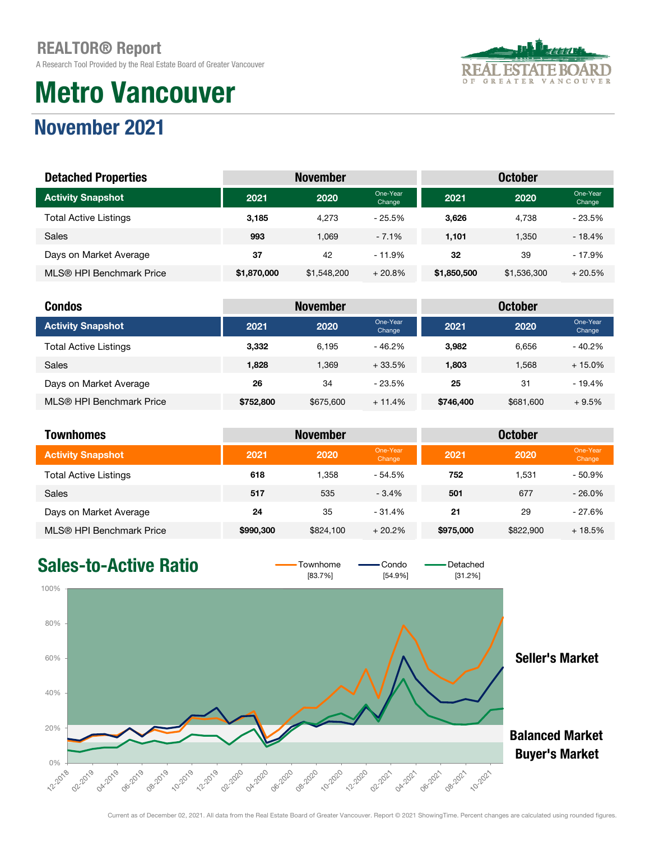A Research Tool Provided by the Real Estate Board of Greater Vancouver

# Metro Vancouver



### November 2021

| <b>Detached Properties</b>   | <b>October</b><br><b>November</b> |             |                    |             |             |                    |
|------------------------------|-----------------------------------|-------------|--------------------|-------------|-------------|--------------------|
| <b>Activity Snapshot</b>     | 2021                              | 2020        | One-Year<br>Change | 2021        | 2020        | One-Year<br>Change |
| <b>Total Active Listings</b> | 3.185                             | 4.273       | $-25.5%$           | 3.626       | 4.738       | $-23.5%$           |
| Sales                        | 993                               | 1.069       | $-7.1\%$           | 1,101       | 1.350       | $-18.4%$           |
| Days on Market Average       | 37                                | 42          | $-11.9%$           | 32          | 39          | $-17.9%$           |
| MLS® HPI Benchmark Price     | \$1,870,000                       | \$1,548,200 | $+20.8%$           | \$1,850,500 | \$1,536,300 | $+20.5%$           |

| <b>Condos</b>                |           | <b>November</b> |                    |           | <b>October</b> |                    |
|------------------------------|-----------|-----------------|--------------------|-----------|----------------|--------------------|
| <b>Activity Snapshot</b>     | 2021      | 2020            | One-Year<br>Change | 2021      | 2020           | One-Year<br>Change |
| <b>Total Active Listings</b> | 3,332     | 6.195           | $-46.2%$           | 3.982     | 6.656          | $-40.2%$           |
| <b>Sales</b>                 | 1,828     | 1.369           | $+33.5%$           | 1,803     | 1.568          | $+15.0%$           |
| Days on Market Average       | 26        | 34              | $-23.5%$           | 25        | 31             | $-19.4%$           |
| MLS® HPI Benchmark Price     | \$752,800 | \$675,600       | $+11.4%$           | \$746,400 | \$681,600      | $+9.5%$            |

| <b>Townhomes</b>             |           | <b>November</b> |                    | <b>October</b> |           |                    |  |
|------------------------------|-----------|-----------------|--------------------|----------------|-----------|--------------------|--|
| <b>Activity Snapshot</b>     | 2021      | 2020            | One-Year<br>Change | 2021           | 2020      | One-Year<br>Change |  |
| <b>Total Active Listings</b> | 618       | 1.358           | $-54.5%$           | 752            | 1.531     | $-50.9%$           |  |
| <b>Sales</b>                 | 517       | 535             | $-3.4%$            | 501            | 677       | $-26.0\%$          |  |
| Days on Market Average       | 24        | 35              | $-31.4%$           | 21             | 29        | - 27.6%            |  |
| MLS® HPI Benchmark Price     | \$990,300 | \$824,100       | $+20.2%$           | \$975,000      | \$822,900 | $+18.5%$           |  |

### Sales-to-Active Ratio  $\overline{\phantom{0}}$   $\overline{\phantom{0}}$   $\overline{\phantom{0}}$   $\overline{\phantom{0}}$   $\overline{\phantom{0}}$   $\overline{\phantom{0}}$   $\overline{\phantom{0}}$   $\overline{\phantom{0}}$   $\overline{\phantom{0}}$   $\overline{\phantom{0}}$   $\overline{\phantom{0}}$   $\overline{\phantom{0}}$   $\overline{\phantom{0}}$   $\overline{\phantom{0}}$   $\overline{\phantom{0}}$   $\overline{\phantom{0}}$   $\overline{\phantom$

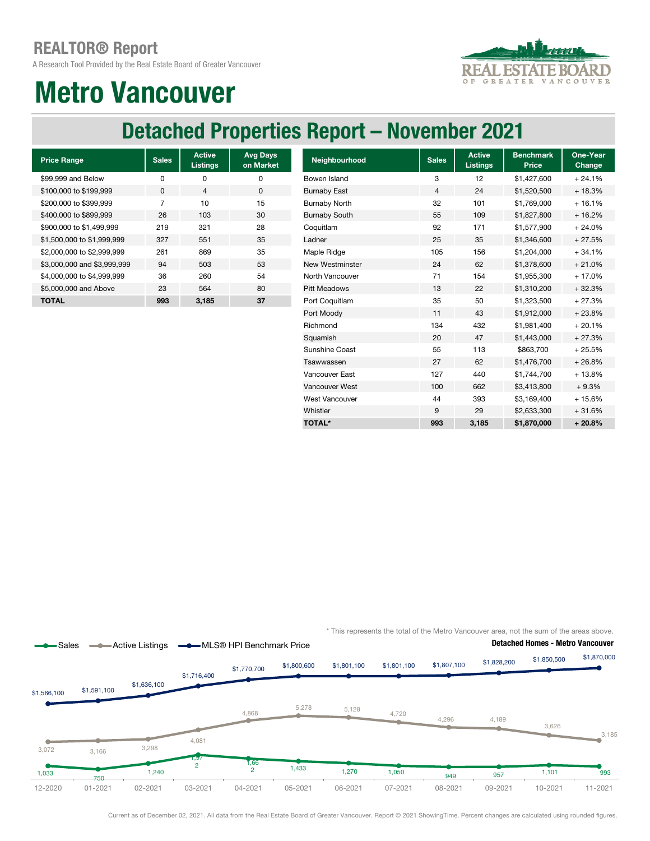A Research Tool Provided by the Real Estate Board of Greater Vancouver



## Metro Vancouver

### Detached Properties Report – November 2021

| <b>Price Range</b>          | <b>Sales</b> | <b>Active</b><br><b>Listings</b> | <b>Avg Days</b><br>on Market |
|-----------------------------|--------------|----------------------------------|------------------------------|
| \$99,999 and Below          | O            | ŋ                                | 0                            |
| \$100,000 to \$199,999      | $\Omega$     | 4                                | 0                            |
| \$200,000 to \$399,999      | 7            | 10                               | 15                           |
| \$400,000 to \$899,999      | 26           | 103                              | 30                           |
| \$900,000 to \$1,499,999    | 219          | 321                              | 28                           |
| \$1,500,000 to \$1,999,999  | 327          | 551                              | 35                           |
| \$2,000,000 to \$2,999,999  | 261          | 869                              | 35                           |
| \$3,000,000 and \$3,999,999 | 94           | 503                              | 53                           |
| \$4,000,000 to \$4,999,999  | 36           | 260                              | 54                           |
| \$5,000,000 and Above       | 23           | 564                              | 80                           |
| ΤΟΤΑL                       | 993          | 3.185                            | 37                           |

| <b>Price Range</b>          | <b>Sales</b>   | <b>Active</b><br><b>Listings</b> | <b>Avg Days</b><br>on Market | Neighbourhood        | <b>Sales</b> | <b>Active</b><br><b>Listings</b> | <b>Benchmark</b><br>Price | One-Year<br>Change |
|-----------------------------|----------------|----------------------------------|------------------------------|----------------------|--------------|----------------------------------|---------------------------|--------------------|
| \$99.999 and Below          | 0              | 0                                | 0                            | Bowen Island         | 3            | 12                               | \$1,427,600               | $+24.1%$           |
| \$100,000 to \$199,999      | 0              | 4                                | $\mathbf 0$                  | <b>Burnaby East</b>  | 4            | 24                               | \$1,520,500               | $+18.3%$           |
| \$200,000 to \$399,999      | $\overline{7}$ | 10                               | 15                           | <b>Burnaby North</b> | 32           | 101                              | \$1,769,000               | $+16.1%$           |
| \$400,000 to \$899,999      | 26             | 103                              | 30                           | <b>Burnaby South</b> | 55           | 109                              | \$1,827,800               | $+16.2%$           |
| \$900,000 to \$1,499,999    | 219            | 321                              | 28                           | Coquitlam            | 92           | 171                              | \$1,577,900               | $+24.0%$           |
| \$1.500.000 to \$1.999.999  | 327            | 551                              | 35                           | Ladner               | 25           | 35                               | \$1,346,600               | $+27.5%$           |
| \$2,000,000 to \$2,999,999  | 261            | 869                              | 35                           | Maple Ridge          | 105          | 156                              | \$1,204,000               | $+34.1%$           |
| \$3,000,000 and \$3,999,999 | 94             | 503                              | 53                           | New Westminster      | 24           | 62                               | \$1,378,600               | $+21.0%$           |
| \$4,000,000 to \$4,999,999  | 36             | 260                              | 54                           | North Vancouver      | 71           | 154                              | \$1,955,300               | $+17.0%$           |
| \$5,000,000 and Above       | 23             | 564                              | 80                           | <b>Pitt Meadows</b>  | 13           | 22                               | \$1,310,200               | $+32.3%$           |
| <b>TOTAL</b>                | 993            | 3,185                            | 37                           | Port Coquitlam       | 35           | 50                               | \$1,323,500               | $+27.3%$           |
|                             |                |                                  |                              | Port Moody           | 11           | 43                               | \$1,912,000               | $+23.8%$           |
|                             |                |                                  |                              | Richmond             | 134          | 432                              | \$1,981,400               | $+20.1%$           |
|                             |                |                                  |                              | Squamish             | 20           | 47                               | \$1,443,000               | $+27.3%$           |
|                             |                |                                  |                              | Sunshine Coast       | 55           | 113                              | \$863,700                 | $+25.5%$           |
|                             |                |                                  |                              | Tsawwassen           | 27           | 62                               | \$1,476,700               | $+26.8%$           |
|                             |                |                                  |                              | Vancouver East       | 127          | 440                              | \$1,744,700               | $+13.8%$           |
|                             |                |                                  |                              | Vancouver West       | 100          | 662                              | \$3,413,800               | $+9.3%$            |
|                             |                |                                  |                              | West Vancouver       | 44           | 393                              | \$3,169,400               | $+15.6%$           |
|                             |                |                                  |                              | Whistler             | 9            | 29                               | \$2,633,300               | $+31.6%$           |
|                             |                |                                  |                              | <b>TOTAL*</b>        | 993          | 3,185                            | \$1,870,000               | $+20.8%$           |

\* This represents the total of the Metro Vancouver area, not the sum of the areas above.



Current as of December 02, 2021. All data from the Real Estate Board of Greater Vancouver. Report © 2021 ShowingTime. Percent changes are calculated using rounded figures.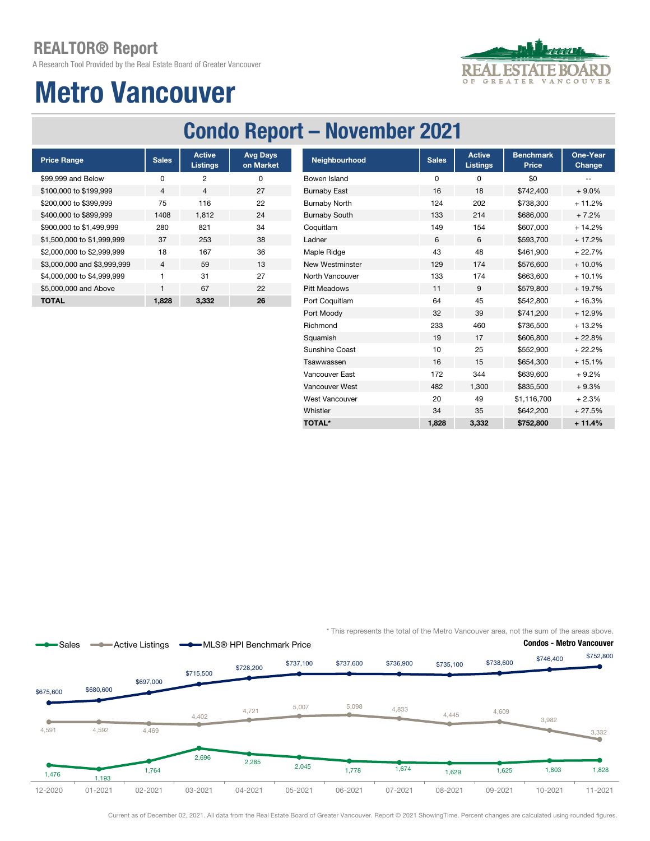A Research Tool Provided by the Real Estate Board of Greater Vancouver



# Metro Vancouver

## Condo Report – November 2021

| <b>Price Range</b>          | <b>Sales</b>   | <b>Active</b><br><b>Listings</b> | <b>Avg Days</b><br>on Market |
|-----------------------------|----------------|----------------------------------|------------------------------|
| \$99,999 and Below          | O              | 2                                | ŋ                            |
| \$100,000 to \$199,999      | 4              | 4                                | 27                           |
| \$200,000 to \$399,999      | 75             | 116                              | 22                           |
| \$400,000 to \$899,999      | 1408           | 1,812                            | 24                           |
| \$900,000 to \$1,499,999    | 280            | 821                              | 34                           |
| \$1,500,000 to \$1,999,999  | 37             | 253                              | 38                           |
| \$2,000,000 to \$2,999,999  | 18             | 167                              | 36                           |
| \$3,000,000 and \$3,999,999 | $\overline{4}$ | 59                               | 13                           |
| \$4,000,000 to \$4,999,999  | 1              | 31                               | 27                           |
| \$5,000,000 and Above       | 1              | 67                               | 22                           |
| <b>TOTAL</b>                | 1.828          | 3.332                            | 26                           |

| <b>Price Range</b>          | <b>Sales</b> | <b>Active</b><br><b>Listings</b> | <b>Avg Days</b><br>on Market | Neighbourhood          | <b>Sales</b> | <b>Active</b><br><b>Listings</b> | <b>Benchmark</b><br>Price | One-Year<br>Change |
|-----------------------------|--------------|----------------------------------|------------------------------|------------------------|--------------|----------------------------------|---------------------------|--------------------|
| \$99,999 and Below          | 0            | $\overline{c}$                   | 0                            | Bowen Island           | 0            | 0                                | \$0                       |                    |
| \$100,000 to \$199.999      | 4            | 4                                | 27                           | <b>Burnaby East</b>    | 16           | 18                               | \$742,400                 | $+9.0%$            |
| \$200.000 to \$399.999      | 75           | 116                              | 22                           | <b>Burnaby North</b>   | 124          | 202                              | \$738,300                 | $+11.2%$           |
| \$400,000 to \$899,999      | 1408         | 1,812                            | 24                           | <b>Burnaby South</b>   | 133          | 214                              | \$686,000                 | $+7.2%$            |
| \$900,000 to \$1,499,999    | 280          | 821                              | 34                           | Coquitlam              | 149          | 154                              | \$607,000                 | $+14.2%$           |
| \$1,500,000 to \$1,999,999  | 37           | 253                              | 38                           | Ladner                 | 6            | 6                                | \$593,700                 | $+17.2%$           |
| \$2,000,000 to \$2,999,999  | 18           | 167                              | 36                           | Maple Ridge            | 43           | 48                               | \$461,900                 | $+22.7%$           |
| \$3,000,000 and \$3,999,999 | 4            | 59                               | 13                           | <b>New Westminster</b> | 129          | 174                              | \$576,600                 | $+10.0\%$          |
| \$4,000,000 to \$4,999,999  |              | 31                               | 27                           | North Vancouver        | 133          | 174                              | \$663,600                 | $+10.1%$           |
| \$5,000,000 and Above       |              | 67                               | 22                           | <b>Pitt Meadows</b>    | 11           | 9                                | \$579,800                 | $+19.7%$           |
| <b>TOTAL</b>                | 1,828        | 3,332                            | 26                           | Port Coquitlam         | 64           | 45                               | \$542,800                 | $+16.3%$           |
|                             |              |                                  |                              | Port Moody             | 32           | 39                               | \$741,200                 | $+12.9%$           |
|                             |              |                                  |                              | Richmond               | 233          | 460                              | \$736,500                 | $+13.2%$           |
|                             |              |                                  |                              | Squamish               | 19           | 17                               | \$606,800                 | $+22.8%$           |
|                             |              |                                  |                              | Sunshine Coast         | 10           | 25                               | \$552,900                 | $+22.2%$           |
|                             |              |                                  |                              | Tsawwassen             | 16           | 15                               | \$654,300                 | $+15.1%$           |
|                             |              |                                  |                              | Vancouver East         | 172          | 344                              | \$639,600                 | $+9.2%$            |
|                             |              |                                  |                              | Vancouver West         | 482          | 1,300                            | \$835,500                 | $+9.3%$            |
|                             |              |                                  |                              | <b>West Vancouver</b>  | 20           | 49                               | \$1,116,700               | $+2.3%$            |
|                             |              |                                  |                              | Whistler               | 34           | 35                               | \$642,200                 | $+27.5%$           |
|                             |              |                                  |                              | <b>TOTAL*</b>          | 1,828        | 3,332                            | \$752,800                 | $+11.4%$           |

\* This represents the total of the Metro Vancouver area, not the sum of the areas above.



Current as of December 02, 2021. All data from the Real Estate Board of Greater Vancouver. Report © 2021 ShowingTime. Percent changes are calculated using rounded figures.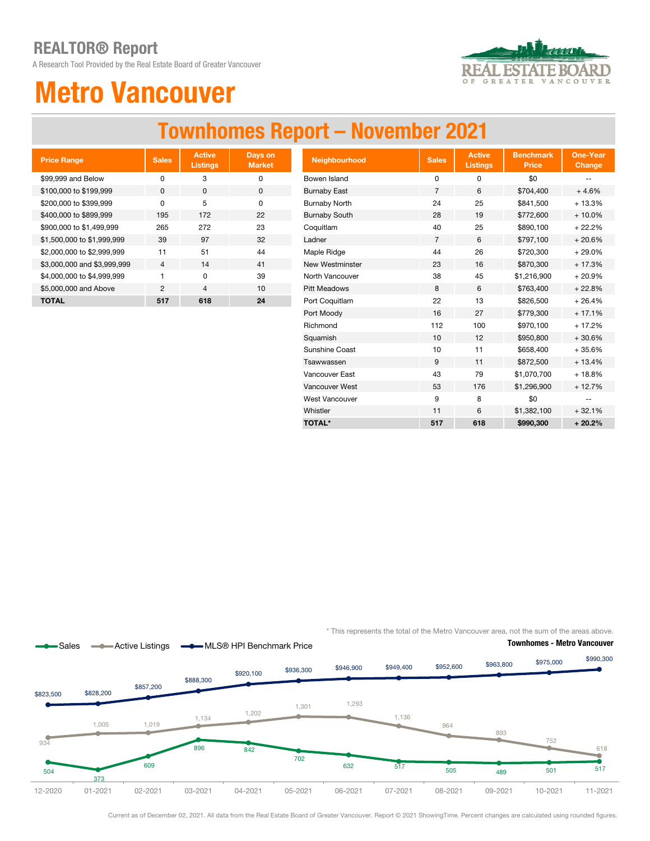A Research Tool Provided by the Real Estate Board of Greater Vancouver



# Metro Vancouver

### Townhomes Report – November 2021

| <b>Price Range</b>          | <b>Sales</b> | <b>Active</b><br><b>Listings</b> | Days on<br><b>Market</b> |
|-----------------------------|--------------|----------------------------------|--------------------------|
| \$99,999 and Below          | O            | 3                                | O                        |
| \$100,000 to \$199,999      | <sup>0</sup> | O                                | 0                        |
| \$200,000 to \$399,999      | O            | 5                                | O                        |
| \$400,000 to \$899,999      | 195          | 172                              | 22                       |
| \$900,000 to \$1,499,999    | 265          | 272                              | 23                       |
| \$1,500,000 to \$1,999,999  | 39           | 97                               | 32                       |
| \$2,000,000 to \$2,999,999  | 11           | 51                               | 44                       |
| \$3,000,000 and \$3,999,999 | 4            | 14                               | 41                       |
| \$4,000,000 to \$4,999,999  | 1            | O                                | 39                       |
| \$5,000,000 and Above       | 2            | $\overline{\mathcal{A}}$         | 10                       |
| <b>TOTAL</b>                | 517          | 618                              | 24                       |

| <b>Price Range</b>          | <b>Sales</b>   | <b>Active</b><br><b>Listings</b> | Days on<br><b>Market</b> | Neighbourhood          | Sales          | <b>Active</b><br><b>Listings</b> | <b>Benchmark</b><br>Price | <b>One-Year</b><br><b>Change</b> |
|-----------------------------|----------------|----------------------------------|--------------------------|------------------------|----------------|----------------------------------|---------------------------|----------------------------------|
| \$99,999 and Below          | $\mathbf 0$    | 3                                | 0                        | Bowen Island           | 0              | 0                                | \$0                       |                                  |
| \$100,000 to \$199,999      | 0              | 0                                | $\mathbf 0$              | <b>Burnaby East</b>    | $\overline{7}$ | 6                                | \$704,400                 | $+4.6%$                          |
| \$200,000 to \$399,999      | 0              | 5                                | $\mathbf 0$              | <b>Burnaby North</b>   | 24             | 25                               | \$841,500                 | $+13.3%$                         |
| \$400,000 to \$899,999      | 195            | 172                              | 22                       | <b>Burnaby South</b>   | 28             | 19                               | \$772,600                 | $+10.0%$                         |
| \$900,000 to \$1,499,999    | 265            | 272                              | 23                       | Coquitlam              | 40             | 25                               | \$890,100                 | $+22.2%$                         |
| \$1,500,000 to \$1,999,999  | 39             | 97                               | 32                       | Ladner                 | $\overline{7}$ | 6                                | \$797,100                 | $+20.6%$                         |
| \$2,000,000 to \$2,999,999  | 11             | 51                               | 44                       | Maple Ridge            | 44             | 26                               | \$720,300                 | $+29.0%$                         |
| \$3,000,000 and \$3,999,999 | $\overline{4}$ | 14                               | 41                       | <b>New Westminster</b> | 23             | 16                               | \$870,300                 | $+17.3%$                         |
| \$4,000,000 to \$4,999,999  |                | 0                                | 39                       | North Vancouver        | 38             | 45                               | \$1,216,900               | $+20.9%$                         |
| \$5,000,000 and Above       | $\overline{c}$ | $\overline{4}$                   | 10                       | <b>Pitt Meadows</b>    | 8              | 6                                | \$763,400                 | $+22.8%$                         |
| <b>TOTAL</b>                | 517            | 618                              | 24                       | Port Coquitlam         | 22             | 13                               | \$826,500                 | $+26.4%$                         |
|                             |                |                                  |                          | Port Moody             | 16             | 27                               | \$779,300                 | $+17.1%$                         |
|                             |                |                                  |                          | Richmond               | 112            | 100                              | \$970,100                 | $+17.2%$                         |
|                             |                |                                  |                          | Squamish               | 10             | 12                               | \$950,800                 | $+30.6%$                         |
|                             |                |                                  |                          | Sunshine Coast         | 10             | 11                               | \$658,400                 | $+35.6%$                         |
|                             |                |                                  |                          | Tsawwassen             | 9              | 11                               | \$872,500                 | $+13.4%$                         |
|                             |                |                                  |                          | Vancouver East         | 43             | 79                               | \$1,070,700               | $+18.8%$                         |
|                             |                |                                  |                          | Vancouver West         | 53             | 176                              | \$1,296,900               | $+12.7%$                         |
|                             |                |                                  |                          | <b>West Vancouver</b>  | 9              | 8                                | \$0                       |                                  |
|                             |                |                                  |                          | Whistler               | 11             | 6                                | \$1,382,100               | $+32.1%$                         |
|                             |                |                                  |                          | <b>TOTAL*</b>          | 517            | 618                              | \$990,300                 | $+20.2%$                         |

\* This represents the total of the Metro Vancouver area, not the sum of the areas above.



Current as of December 02, 2021. All data from the Real Estate Board of Greater Vancouver. Report © 2021 ShowingTime. Percent changes are calculated using rounded figures.